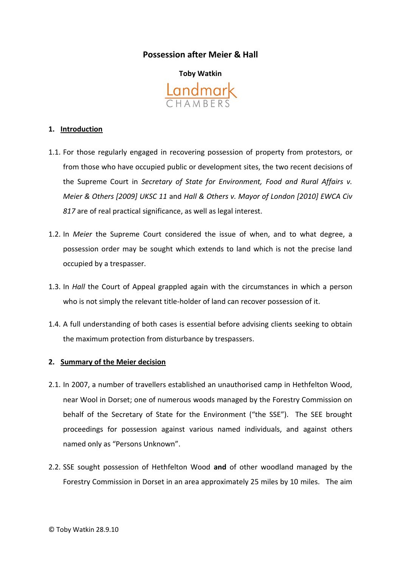# **Possession after Meier & Hall**



### **1. Introduction**

- 1.1. For those regularly engaged in recovering possession of property from protestors, or from those who have occupied public or development sites, the two recent decisions of the Supreme Court in *Secretary of State for Environment, Food and Rural Affairs v. Meier & Others [2009] UKSC 11* and *Hall & Others v. Mayor of London [2010] EWCA Civ 817* are of real practical significance, as well as legal interest.
- 1.2. In *Meier* the Supreme Court considered the issue of when, and to what degree, a possession order may be sought which extends to land which is not the precise land occupied by a trespasser.
- 1.3. In *Hall* the Court of Appeal grappled again with the circumstances in which a person who is not simply the relevant title-holder of land can recover possession of it.
- 1.4. A full understanding of both cases is essential before advising clients seeking to obtain the maximum protection from disturbance by trespassers.

#### **2. Summary of the Meier decision**

- 2.1. In 2007, a number of travellers established an unauthorised camp in Hethfelton Wood, near Wool in Dorset; one of numerous woods managed by the Forestry Commission on behalf of the Secretary of State for the Environment ("the SSE"). The SEE brought proceedings for possession against various named individuals, and against others named only as "Persons Unknown".
- 2.2. SSE sought possession of Hethfelton Wood **and** of other woodland managed by the Forestry Commission in Dorset in an area approximately 25 miles by 10 miles. The aim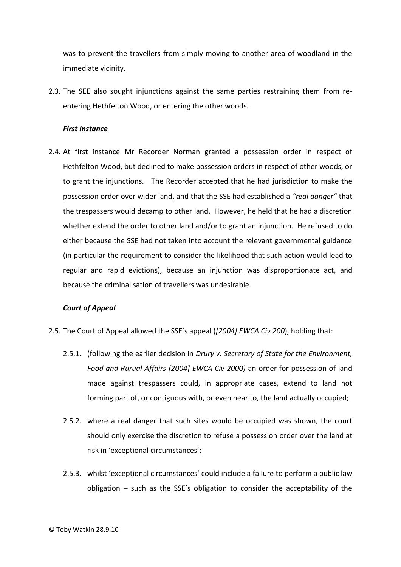was to prevent the travellers from simply moving to another area of woodland in the immediate vicinity.

2.3. The SEE also sought injunctions against the same parties restraining them from reentering Hethfelton Wood, or entering the other woods.

#### *First Instance*

2.4. At first instance Mr Recorder Norman granted a possession order in respect of Hethfelton Wood, but declined to make possession orders in respect of other woods, or to grant the injunctions. The Recorder accepted that he had jurisdiction to make the possession order over wider land, and that the SSE had established a *"real danger"* that the trespassers would decamp to other land. However, he held that he had a discretion whether extend the order to other land and/or to grant an injunction. He refused to do either because the SSE had not taken into account the relevant governmental guidance (in particular the requirement to consider the likelihood that such action would lead to regular and rapid evictions), because an injunction was disproportionate act, and because the criminalisation of travellers was undesirable.

## *Court of Appeal*

- 2.5. The Court of Appeal allowed the SSE's appeal (*[2004] EWCA Civ 200*), holding that:
	- 2.5.1. (following the earlier decision in *Drury v. Secretary of State for the Environment,*  Food and Rurual Affairs [2004] EWCA Civ 2000) an order for possession of land made against trespassers could, in appropriate cases, extend to land not forming part of, or contiguous with, or even near to, the land actually occupied;
	- 2.5.2. where a real danger that such sites would be occupied was shown, the court should only exercise the discretion to refuse a possession order over the land at risk in 'exceptional circumstances';
	- 2.5.3. whilst 'exceptional circumstances' could include a failure to perform a public law obligation – such as the SSE's obligation to consider the acceptability of the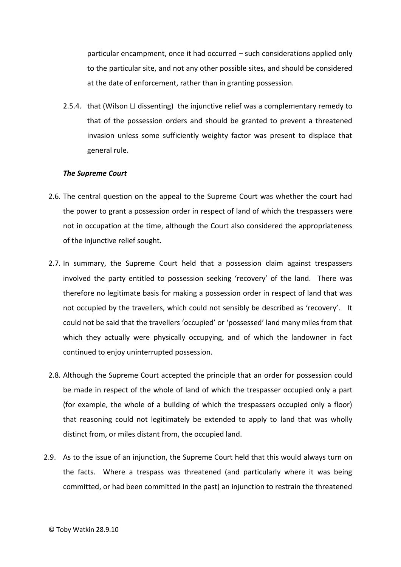particular encampment, once it had occurred – such considerations applied only to the particular site, and not any other possible sites, and should be considered at the date of enforcement, rather than in granting possession.

2.5.4. that (Wilson LJ dissenting) the injunctive relief was a complementary remedy to that of the possession orders and should be granted to prevent a threatened invasion unless some sufficiently weighty factor was present to displace that general rule.

#### *The Supreme Court*

- 2.6. The central question on the appeal to the Supreme Court was whether the court had the power to grant a possession order in respect of land of which the trespassers were not in occupation at the time, although the Court also considered the appropriateness of the injunctive relief sought.
- 2.7. In summary, the Supreme Court held that a possession claim against trespassers involved the party entitled to possession seeking 'recovery' of the land. There was therefore no legitimate basis for making a possession order in respect of land that was not occupied by the travellers, which could not sensibly be described as 'recovery'. It could not be said that the travellers 'occupied' or 'possessed' land many miles from that which they actually were physically occupying, and of which the landowner in fact continued to enjoy uninterrupted possession.
- 2.8. Although the Supreme Court accepted the principle that an order for possession could be made in respect of the whole of land of which the trespasser occupied only a part (for example, the whole of a building of which the trespassers occupied only a floor) that reasoning could not legitimately be extended to apply to land that was wholly distinct from, or miles distant from, the occupied land.
- 2.9. As to the issue of an injunction, the Supreme Court held that this would always turn on the facts. Where a trespass was threatened (and particularly where it was being committed, or had been committed in the past) an injunction to restrain the threatened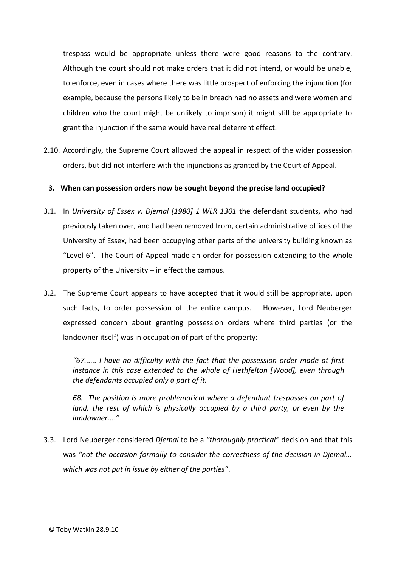trespass would be appropriate unless there were good reasons to the contrary. Although the court should not make orders that it did not intend, or would be unable, to enforce, even in cases where there was little prospect of enforcing the injunction (for example, because the persons likely to be in breach had no assets and were women and children who the court might be unlikely to imprison) it might still be appropriate to grant the injunction if the same would have real deterrent effect.

2.10. Accordingly, the Supreme Court allowed the appeal in respect of the wider possession orders, but did not interfere with the injunctions as granted by the Court of Appeal.

## **3. When can possession orders now be sought beyond the precise land occupied?**

- 3.1. In *University of Essex v. Djemal [1980] 1 WLR 1301* the defendant students, who had previously taken over, and had been removed from, certain administrative offices of the University of Essex, had been occupying other parts of the university building known as "Level 6". The Court of Appeal made an order for possession extending to the whole property of the University – in effect the campus.
- 3.2. The Supreme Court appears to have accepted that it would still be appropriate, upon such facts, to order possession of the entire campus. However, Lord Neuberger expressed concern about granting possession orders where third parties (or the landowner itself) was in occupation of part of the property:

*"67...... I have no difficulty with the fact that the possession order made at first instance in this case extended to the whole of Hethfelton [Wood], even through the defendants occupied only a part of it.* 

*68. The position is more problematical where a defendant trespasses on part of land, the rest of which is physically occupied by a third party, or even by the landowner.*...*"*

3.3. Lord Neuberger considered *Djemal* to be a *"thoroughly practical"* decision and that this was *"not the occasion formally to consider the correctness of the decision in Djemal... which was not put in issue by either of the parties"*.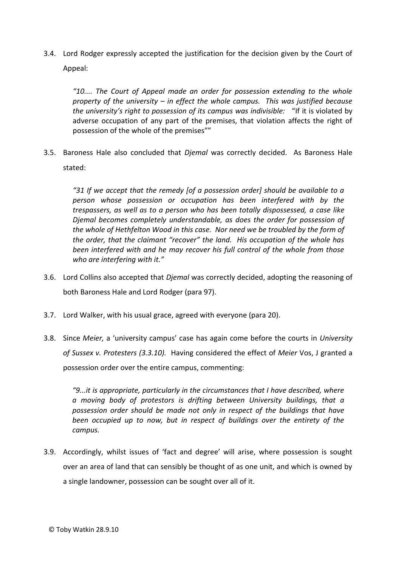3.4. Lord Rodger expressly accepted the justification for the decision given by the Court of Appeal:

*"10.... The Court of Appeal made an order for possession extending to the whole property of the university – in effect the whole campus. This was justified because the university's right to possession of its campus was indivisible:* "If it is violated by adverse occupation of any part of the premises, that violation affects the right of possession of the whole of the premises""

3.5. Baroness Hale also concluded that *Djemal* was correctly decided. As Baroness Hale stated:

*"31 If we accept that the remedy [of a possession order] should be available to a person whose possession or occupation has been interfered with by the trespassers, as well as to a person who has been totally dispossessed, a case like Djemal becomes completely understandable, as does the order for possession of the whole of Hethfelton Wood in this case. Nor need we be troubled by the form of the order, that the claimant "recover" the land. His occupation of the whole has been interfered with and he may recover his full control of the whole from those who are interfering with it."* 

- 3.6. Lord Collins also accepted that *Djemal* was correctly decided, adopting the reasoning of both Baroness Hale and Lord Rodger (para 97).
- 3.7. Lord Walker, with his usual grace, agreed with everyone (para 20).
- 3.8. Since *Meier,* a 'university campus' case has again come before the courts in *University of Sussex v. Protesters (3.3.10).* Having considered the effect of *Meier* Vos, J granted a possession order over the entire campus, commenting:

*"9...it is appropriate, particularly in the circumstances that I have described, where a moving body of protestors is drifting between University buildings, that a possession order should be made not only in respect of the buildings that have been occupied up to now, but in respect of buildings over the entirety of the campus.* 

3.9. Accordingly, whilst issues of 'fact and degree' will arise, where possession is sought over an area of land that can sensibly be thought of as one unit, and which is owned by a single landowner, possession can be sought over all of it.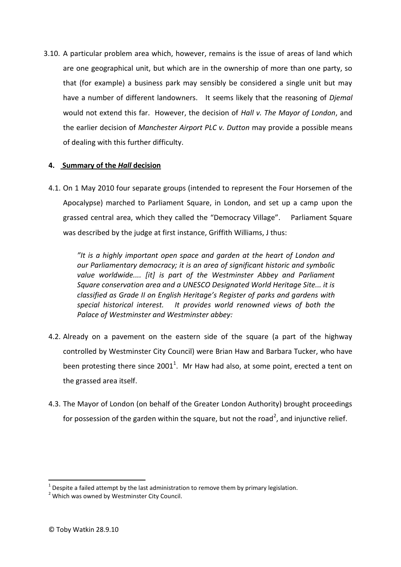3.10. A particular problem area which, however, remains is the issue of areas of land which are one geographical unit, but which are in the ownership of more than one party, so that (for example) a business park may sensibly be considered a single unit but may have a number of different landowners. It seems likely that the reasoning of *Djemal*  would not extend this far. However, the decision of *Hall v. The Mayor of London*, and the earlier decision of *Manchester Airport PLC v. Dutton* may provide a possible means of dealing with this further difficulty.

# **4. Summary of the** *Hall* **decision**

4.1. On 1 May 2010 four separate groups (intended to represent the Four Horsemen of the Apocalypse) marched to Parliament Square, in London, and set up a camp upon the grassed central area, which they called the "Democracy Village". Parliament Square was described by the judge at first instance, Griffith Williams, J thus:

*"It is a highly important open space and garden at the heart of London and our Parliamentary democracy; it is an area of significant historic and symbolic value worldwide.... [it] is part of the Westminster Abbey and Parliament Square conservation area and a UNESCO Designated World Heritage Site... it is classified as Grade II on English Heritage's Register of parks and gardens with special historical interest. It provides world renowned views of both the Palace of Westminster and Westminster abbey:* 

- 4.2. Already on a pavement on the eastern side of the square (a part of the highway controlled by Westminster City Council) were Brian Haw and Barbara Tucker, who have been protesting there since 2001<sup>1</sup>. Mr Haw had also, at some point, erected a tent on the grassed area itself.
- 4.3. The Mayor of London (on behalf of the Greater London Authority) brought proceedings for possession of the garden within the square, but not the road<sup>2</sup>, and injunctive relief.

 1 Despite a failed attempt by the last administration to remove them by primary legislation.

<sup>&</sup>lt;sup>2</sup> Which was owned by Westminster City Council.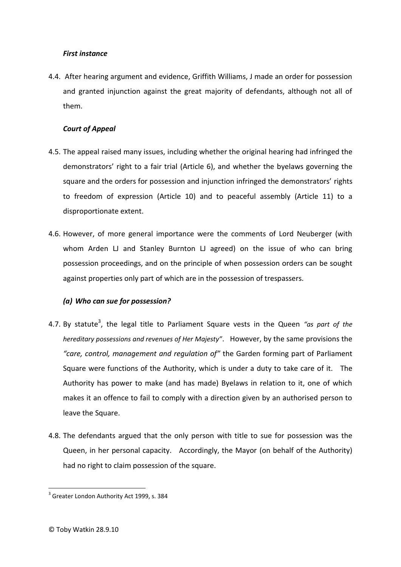# *First instance*

4.4. After hearing argument and evidence, Griffith Williams, J made an order for possession and granted injunction against the great majority of defendants, although not all of them.

# *Court of Appeal*

- 4.5. The appeal raised many issues, including whether the original hearing had infringed the demonstrators' right to a fair trial (Article 6), and whether the byelaws governing the square and the orders for possession and injunction infringed the demonstrators' rights to freedom of expression (Article 10) and to peaceful assembly (Article 11) to a disproportionate extent.
- 4.6. However, of more general importance were the comments of Lord Neuberger (with whom Arden LJ and Stanley Burnton LJ agreed) on the issue of who can bring possession proceedings, and on the principle of when possession orders can be sought against properties only part of which are in the possession of trespassers.

# *(a) Who can sue for possession?*

- 4.7. By statute<sup>3</sup>, the legal title to Parliament Square vests in the Queen *"as part of the hereditary possessions and revenues of Her Majesty"*. However, by the same provisions the *"care, control, management and regulation of"* the Garden forming part of Parliament Square were functions of the Authority, which is under a duty to take care of it. The Authority has power to make (and has made) Byelaws in relation to it, one of which makes it an offence to fail to comply with a direction given by an authorised person to leave the Square.
- 4.8. The defendants argued that the only person with title to sue for possession was the Queen, in her personal capacity. Accordingly, the Mayor (on behalf of the Authority) had no right to claim possession of the square.

**.** 

<sup>&</sup>lt;sup>3</sup> Greater London Authority Act 1999, s. 384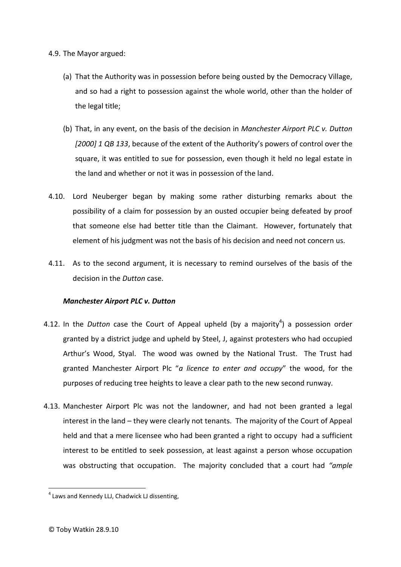4.9. The Mayor argued:

- (a) That the Authority was in possession before being ousted by the Democracy Village, and so had a right to possession against the whole world, other than the holder of the legal title;
- (b) That, in any event, on the basis of the decision in *Manchester Airport PLC v. Dutton [2000] 1 QB 133*, because of the extent of the Authority's powers of control over the square, it was entitled to sue for possession, even though it held no legal estate in the land and whether or not it was in possession of the land.
- 4.10. Lord Neuberger began by making some rather disturbing remarks about the possibility of a claim for possession by an ousted occupier being defeated by proof that someone else had better title than the Claimant. However, fortunately that element of his judgment was not the basis of his decision and need not concern us.
- 4.11. As to the second argument, it is necessary to remind ourselves of the basis of the decision in the *Dutton* case.

## *Manchester Airport PLC v. Dutton*

- 4.12. In the *Dutton* case the Court of Appeal upheld (by a majority<sup>4</sup>) a possession order granted by a district judge and upheld by Steel, J, against protesters who had occupied Arthur's Wood, Styal. The wood was owned by the National Trust. The Trust had granted Manchester Airport Plc "*a licence to enter and occupy*" the wood, for the purposes of reducing tree heights to leave a clear path to the new second runway.
- 4.13. Manchester Airport Plc was not the landowner, and had not been granted a legal interest in the land – they were clearly not tenants. The majority of the Court of Appeal held and that a mere licensee who had been granted a right to occupy had a sufficient interest to be entitled to seek possession, at least against a person whose occupation was obstructing that occupation. The majority concluded that a court had *"ample*

**.** 

<sup>&</sup>lt;sup>4</sup> Laws and Kennedy LLJ, Chadwick LJ dissenting,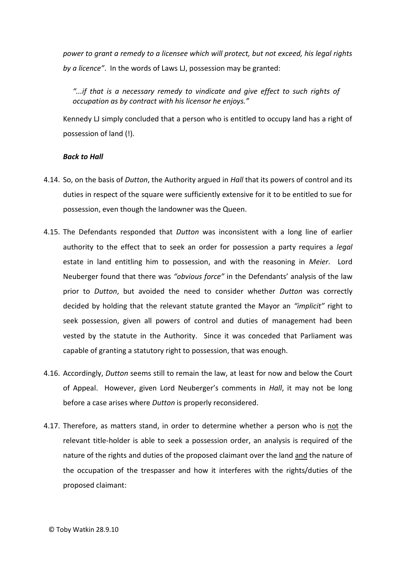*power to grant a remedy to a licensee which will protect, but not exceed, his legal rights by a licence"*. In the words of Laws LJ, possession may be granted:

*"...if that is a necessary remedy to vindicate and give effect to such rights of occupation as by contract with his licensor he enjoys."*

Kennedy LJ simply concluded that a person who is entitled to occupy land has a right of possession of land (!).

#### *Back to Hall*

- 4.14. So, on the basis of *Dutton*, the Authority argued in *Hall* that its powers of control and its duties in respect of the square were sufficiently extensive for it to be entitled to sue for possession, even though the landowner was the Queen.
- 4.15. The Defendants responded that *Dutton* was inconsistent with a long line of earlier authority to the effect that to seek an order for possession a party requires a *legal* estate in land entitling him to possession, and with the reasoning in *Meier*. Lord Neuberger found that there was *"obvious force"* in the Defendants' analysis of the law prior to *Dutton*, but avoided the need to consider whether *Dutton* was correctly decided by holding that the relevant statute granted the Mayor an *"implicit"* right to seek possession, given all powers of control and duties of management had been vested by the statute in the Authority. Since it was conceded that Parliament was capable of granting a statutory right to possession, that was enough.
- 4.16. Accordingly, *Dutton* seems still to remain the law, at least for now and below the Court of Appeal. However, given Lord Neuberger's comments in *Hall*, it may not be long before a case arises where *Dutton* is properly reconsidered.
- 4.17. Therefore, as matters stand, in order to determine whether a person who is not the relevant title-holder is able to seek a possession order, an analysis is required of the nature of the rights and duties of the proposed claimant over the land and the nature of the occupation of the trespasser and how it interferes with the rights/duties of the proposed claimant: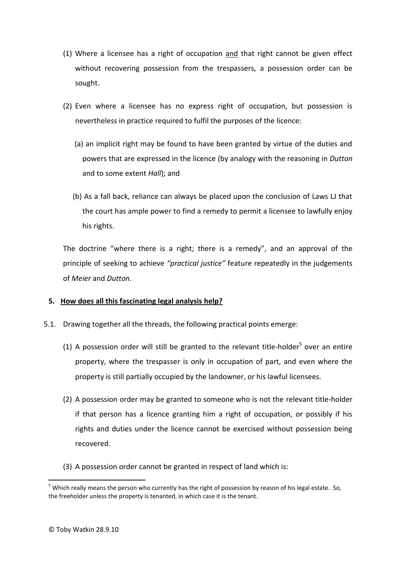- (1) Where a licensee has a right of occupation and that right cannot be given effect without recovering possession from the trespassers, a possession order can be sought.
- (2) Even where a licensee has no express right of occupation, but possession is nevertheless in practice required to fulfil the purposes of the licence:
	- (a) an implicit right may be found to have been granted by virtue of the duties and powers that are expressed in the licence (by analogy with the reasoning in *Dutton* and to some extent *Hall*); and
	- (b) As a fall back, reliance can always be placed upon the conclusion of Laws LJ that the court has ample power to find a remedy to permit a licensee to lawfully enjoy his rights.

The doctrine "where there is a right; there is a remedy", and an approval of the principle of seeking to achieve *"practical justice"* feature repeatedly in the judgements of *Meier* and *Dutton*.

## **5. How does all this fascinating legal analysis help?**

- 5.1. Drawing together all the threads, the following practical points emerge:
	- (1) A possession order will still be granted to the relevant title-holder<sup>5</sup> over an entire property, where the trespasser is only in occupation of part, and even where the property is still partially occupied by the landowner, or his lawful licensees.
	- (2) A possession order may be granted to someone who is not the relevant title-holder if that person has a licence granting him a right of occupation, or possibly if his rights and duties under the licence cannot be exercised without possession being recovered.
	- (3) A possession order cannot be granted in respect of land which is:

1

<sup>&</sup>lt;sup>5</sup> Which really means the person who currently has the right of possession by reason of his legal estate. So, the freeholder unless the property is tenanted, in which case it is the tenant.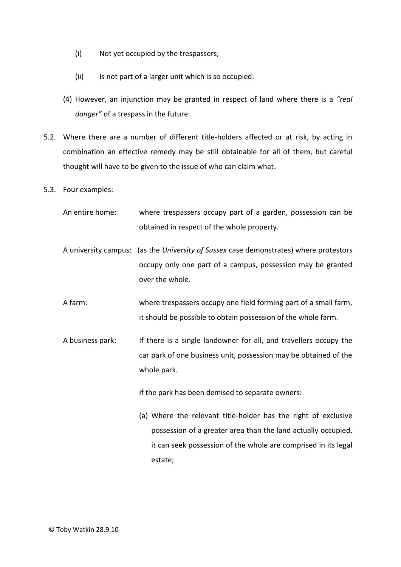- (i) Not yet occupied by the trespassers;
- (ii) Is not part of a larger unit which is so occupied.
- (4) However, an injunction may be granted in respect of land where there is a *"real danger"* of a trespass in the future.
- 5.2. Where there are a number of different title-holders affected or at risk, by acting in combination an effective remedy may be still obtainable for all of them, but careful thought will have to be given to the issue of who can claim what.
- 5.3. Four examples:
	- An entire home: where trespassers occupy part of a garden, possession can be obtained in respect of the whole property.
	- A university campus: (as the *University of Sussex* case demonstrates) where protestors occupy only one part of a campus, possession may be granted over the whole.
	- A farm: where trespassers occupy one field forming part of a small farm, it should be possible to obtain possession of the whole farm.
	- A business park: If there is a single landowner for all, and travellers occupy the car park of one business unit, possession may be obtained of the whole park.

If the park has been demised to separate owners:

(a) Where the relevant title-holder has the right of exclusive possession of a greater area than the land actually occupied, it can seek possession of the whole are comprised in its legal estate;